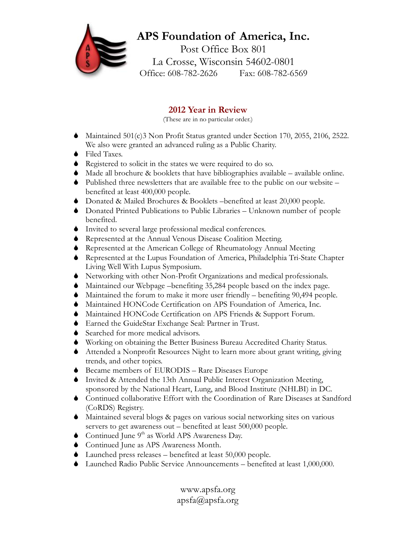## **APS Foundation of America, Inc.** Post Office Box 801 La Crosse, Wisconsin 54602-0801 Office: 608-782-2626 Fax: 608-782-6569

## **2012 Year in Review**

(These are in no particular order.)

- $\blacklozenge$  Maintained 501(c)3 Non Profit Status granted under Section 170, 2055, 2106, 2522. We also were granted an advanced ruling as a Public Charity.
- ◆ Filed Taxes.
- $\bullet$  Registered to solicit in the states we were required to do so.
- $\blacklozenge$  Made all brochure & booklets that have bibliographies available available online.
- $\bullet$  Published three newsletters that are available free to the public on our website benefited at least 400,000 people.
- S Donated & Mailed Brochures & Booklets –benefited at least 20,000 people.
- S Donated Printed Publications to Public Libraries Unknown number of people benefited.
- $\bullet$  Invited to several large professional medical conferences.
- $\blacklozenge$  Represented at the Annual Venous Disease Coalition Meeting.
- S Represented at the American College of Rheumatology Annual Meeting
- S Represented at the Lupus Foundation of America, Philadelphia Tri-State Chapter Living Well With Lupus Symposium.
- S Networking with other Non-Profit Organizations and medical professionals.
- $\blacklozenge$  Maintained our Webpage –benefiting 35,284 people based on the index page.
- $\blacklozenge$  Maintained the forum to make it more user friendly benefiting 90,494 people.
- $\blacklozenge$  Maintained HONCode Certification on APS Foundation of America, Inc.
- $\blacklozenge$  Maintained HONCode Certification on APS Friends & Support Forum.
- S Earned the GuideStar Exchange Seal: Partner in Trust.
- $\bullet$  Searched for more medical advisors.
- S Working on obtaining the Better Business Bureau Accredited Charity Status.
- S Attended a Nonprofit Resources Night to learn more about grant writing, giving trends, and other topics.
- $\blacklozenge$  Became members of EURODIS Rare Diseases Europe
- S Invited & Attended the 13th Annual Public Interest Organization Meeting, sponsored by the National Heart, Lung, and Blood Institute (NHLBI) in DC.
- S Continued collaborative Effort with the Coordination of Rare Diseases at Sandford (CoRDS) Registry.
- $\blacklozenge$  Maintained several blogs & pages on various social networking sites on various servers to get awareness out – benefited at least 500,000 people.
- Continued June  $9<sup>th</sup>$  as World APS Awareness Day.
- $\bullet$  Continued June as APS Awareness Month.
- $\blacklozenge$  Launched press releases benefited at least 50,000 people.
- $\blacklozenge$  Launched Radio Public Service Announcements benefited at least 1,000,000.

www.apsfa.org apsfa@apsfa.org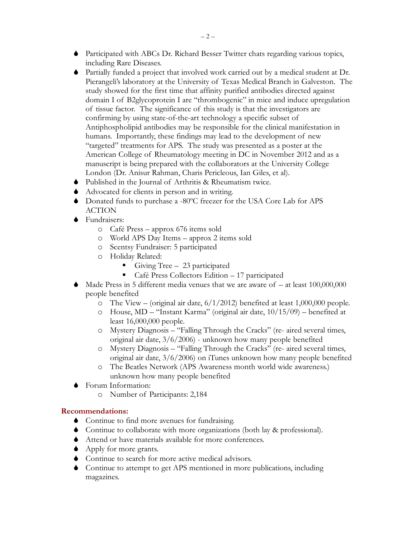- S Participated with ABCs Dr. Richard Besser Twitter chats regarding various topics, including Rare Diseases.
- S Partially funded a project that involved work carried out by a medical student at Dr. Pierangeli's laboratory at the University of Texas Medical Branch in Galveston. The study showed for the first time that affinity purified antibodies directed against domain I of B2glycoprotein I are "thrombogenic" in mice and induce upregulation of tissue factor. The significance of this study is that the investigators are confirming by using state-of-the-art technology a specific subset of Antiphospholipid antibodies may be responsible for the clinical manifestation in humans. Importantly, these findings may lead to the development of new "targeted" treatments for APS. The study was presented as a poster at the American College of Rheumatology meeting in DC in November 2012 and as a manuscript is being prepared with the collaborators at the University College London (Dr. Anisur Rahman, Charis Pericleous, Ian Giles, et al).
- $\blacklozenge$  Published in the Journal of Arthritis & Rheumatism twice.
- S Advocated for clients in person and in writing.
- S Donated funds to purchase a -80ºC freezer for the USA Core Lab for APS ACTION
- $\bullet$  Fundraisers:
	- o Café Press approx 676 items sold
	- o World APS Day Items approx 2 items sold
	- o Scentsy Fundraiser: 5 participated
	- o Holiday Related:
		- Giving Tree  $-23$  participated
		- Café Press Collectors Edition 17 participated
- $\blacklozenge$  Made Press in 5 different media venues that we are aware of at least 100,000,000 people benefited
	- $\overline{O}$  The View (original air date,  $6/1/2012$ ) benefited at least 1,000,000 people.
	- o House, MD "Instant Karma" (original air date, 10/15/09) benefited at least 16,000,000 people.
	- o Mystery Diagnosis "Falling Through the Cracks" (re- aired several times, original air date, 3/6/2006) - unknown how many people benefited
	- o Mystery Diagnosis "Falling Through the Cracks" (re- aired several times, original air date, 3/6/2006) on iTunes unknown how many people benefited
	- o The Beatles Network (APS Awareness month world wide awareness.) unknown how many people benefited
- Forum Information:
	- o Number of Participants: 2,184

## **Recommendations:**

- $\bullet$  Continue to find more avenues for fundraising.
- S Continue to collaborate with more organizations (both lay & professional).
- $\blacklozenge$  Attend or have materials available for more conferences.
- $\blacklozenge$  Apply for more grants.
- $\bullet$  Continue to search for more active medical advisors.
- $\bullet$  Continue to attempt to get APS mentioned in more publications, including magazines.